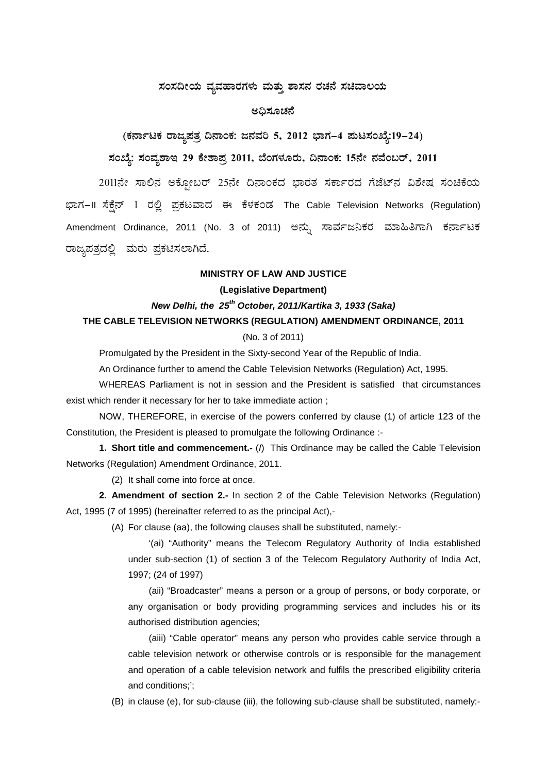#### ಸಂಸದೀಯ ವ್ಯವಹಾರಗಳು ಮತ್ತು **ಶಾಸನ ರಚನೆ ಸಚಿವಾಲ**ಯ

#### ಅಧಿಸೂಚನೆ

# (ಕರ್ನಾಟಕ ರಾಜ್ಯಪತ್ರ ದಿನಾಂಕ: ಜನವರಿ 5, 2012 ಭಾಗ–4 **ಪುಟಸಂಖ್ಯೆ:19–24**)

# **¸ÀASÉå: ¸ÀAªÀå±ÁE 29 PÉñÁ¥Àæ 2011, ¨ÉAUÀ¼ÀÆgÀÄ, ¢£ÁAPÀ: 15£Éà £ÀªÉA§gï, 2011**

2011ನೇ ಸಾಲಿನ ಅಕ್ಸೋಬರ್ 25ನೇ ದಿನಾಂಕದ ಭಾರತ ಸರ್ಕಾರದ ಗೆಜೆಟ್ನ ವಿಶೇಷ ಸಂಚಿಕೆಯ ಭಾಗ–II ಸೆಕ್ಸೆನ್ 1 ರಲ್ಲಿ ಪ್ರಕಟವಾದ ಈ ಕೆಳಕಂಡ The Cable Television Networks (Regulation) Amendment Ordinance, 2011 (No. 3 of 2011) ಅನ್ನು ಸಾರ್ವಜನಿಕರ ಮಾಹಿತಿಗಾಗಿ ಕರ್ನಾಟಕ ರಾಜ್ಯಪತ್ರದಲ್ಲಿ ಮರು ಪ್ರಕಟಿಸಲಾಗಿದೆ.

#### **MINISTRY OF LAW AND JUSTICE**

#### **(Legislative Department)**

### *New Delhi, the 25th October, 2011/Kartika 3, 1933 (Saka)*

## **THE CABLE TELEVISION NETWORKS (REGULATION) AMENDMENT ORDINANCE, 2011**

#### (No. 3 of 2011)

Promulgated by the President in the Sixty-second Year of the Republic of India.

An Ordinance further to amend the Cable Television Networks (Regulation) Act, 1995.

WHEREAS Parliament is not in session and the President is satisfied that circumstances exist which render it necessary for her to take immediate action ;

NOW, THEREFORE, in exercise of the powers conferred by clause (1) of article 123 of the Constitution, the President is pleased to promulgate the following Ordinance :-

**1. Short title and commencement.-** (*I*) This Ordinance may be called the Cable Television Networks (Regulation) Amendment Ordinance, 2011.

(2) It shall come into force at once.

**2. Amendment of section 2.-** In section 2 of the Cable Television Networks (Regulation) Act, 1995 (7 of 1995) (hereinafter referred to as the principal Act),-

(A) For clause (aa), the following clauses shall be substituted, namely:-

'(ai) "Authority" means the Telecom Regulatory Authority of India established under sub-section (1) of section 3 of the Telecom Regulatory Authority of India Act, 1997; (24 of 1997)

(aii) "Broadcaster" means a person or a group of persons, or body corporate, or any organisation or body providing programming services and includes his or its authorised distribution agencies;

(aiii) "Cable operator" means any person who provides cable service through a cable television network or otherwise controls or is responsible for the management and operation of a cable television network and fulfils the prescribed eligibility criteria and conditions;';

(B) in clause (e), for sub-clause (iii), the following sub-clause shall be substituted, namely:-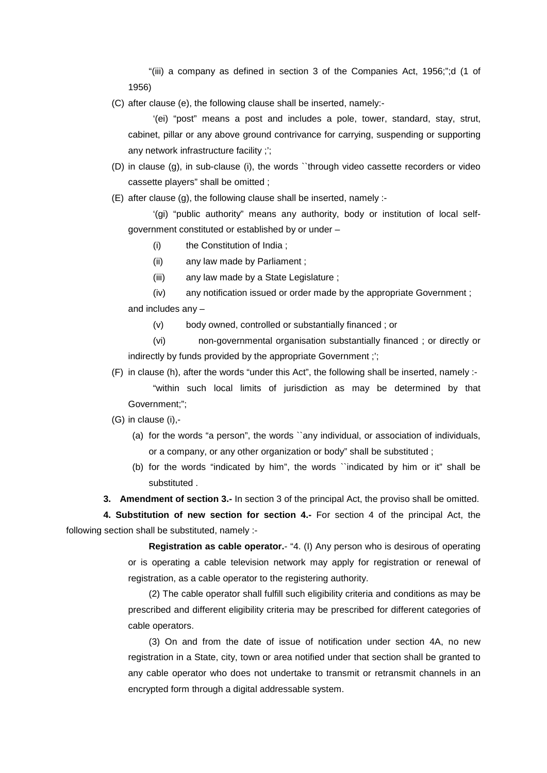"(iii) a company as defined in section 3 of the Companies Act, 1956;";d (1 of 1956)

(C) after clause (e), the following clause shall be inserted, namely:-

'(ei) "post" means a post and includes a pole, tower, standard, stay, strut, cabinet, pillar or any above ground contrivance for carrying, suspending or supporting any network infrastructure facility ;';

(D) in clause (g), in sub-clause (i), the words ``through video cassette recorders or video cassette players" shall be omitted ;

(E) after clause (g), the following clause shall be inserted, namely :-

'(gi) "public authority" means any authority, body or institution of local selfgovernment constituted or established by or under –

- (i) the Constitution of India ;
- (ii) any law made by Parliament ;
- (iii) any law made by a State Legislature ;
- (iv) any notification issued or order made by the appropriate Government ; and includes any –
	- (v) body owned, controlled or substantially financed ; or

(vi) non-governmental organisation substantially financed ; or directly or indirectly by funds provided by the appropriate Government;";

- (F) in clause (h), after the words "under this Act", the following shall be inserted, namely :-
	- "within such local limits of jurisdiction as may be determined by that Government;";
- (G) in clause (i),-
	- (a) for the words "a person", the words ``any individual, or association of individuals, or a company, or any other organization or body" shall be substituted ;
	- (b) for the words "indicated by him", the words ``indicated by him or it" shall be substituted .
- **3. Amendment of section 3.-** In section 3 of the principal Act, the proviso shall be omitted.

**4. Substitution of new section for section 4.-** For section 4 of the principal Act, the following section shall be substituted, namely :-

> **Registration as cable operator.**- "4. (I) Any person who is desirous of operating or is operating a cable television network may apply for registration or renewal of registration, as a cable operator to the registering authority.

> (2) The cable operator shall fulfill such eligibility criteria and conditions as may be prescribed and different eligibility criteria may be prescribed for different categories of cable operators.

> (3) On and from the date of issue of notification under section 4A, no new registration in a State, city, town or area notified under that section shall be granted to any cable operator who does not undertake to transmit or retransmit channels in an encrypted form through a digital addressable system.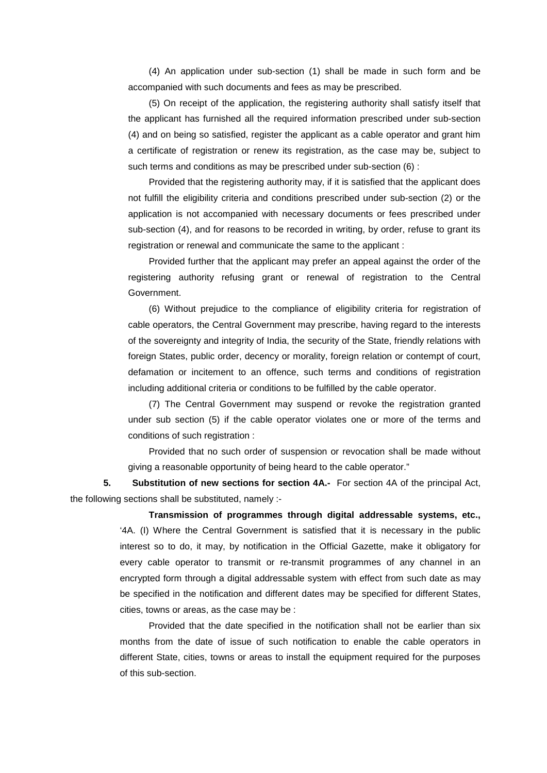(4) An application under sub-section (1) shall be made in such form and be accompanied with such documents and fees as may be prescribed.

(5) On receipt of the application, the registering authority shall satisfy itself that the applicant has furnished all the required information prescribed under sub-section (4) and on being so satisfied, register the applicant as a cable operator and grant him a certificate of registration or renew its registration, as the case may be, subject to such terms and conditions as may be prescribed under sub-section (6) :

Provided that the registering authority may, if it is satisfied that the applicant does not fulfill the eligibility criteria and conditions prescribed under sub-section (2) or the application is not accompanied with necessary documents or fees prescribed under sub-section (4), and for reasons to be recorded in writing, by order, refuse to grant its registration or renewal and communicate the same to the applicant :

Provided further that the applicant may prefer an appeal against the order of the registering authority refusing grant or renewal of registration to the Central Government.

(6) Without prejudice to the compliance of eligibility criteria for registration of cable operators, the Central Government may prescribe, having regard to the interests of the sovereignty and integrity of India, the security of the State, friendly relations with foreign States, public order, decency or morality, foreign relation or contempt of court, defamation or incitement to an offence, such terms and conditions of registration including additional criteria or conditions to be fulfilled by the cable operator.

(7) The Central Government may suspend or revoke the registration granted under sub section (5) if the cable operator violates one or more of the terms and conditions of such registration :

Provided that no such order of suspension or revocation shall be made without giving a reasonable opportunity of being heard to the cable operator."

**5. Substitution of new sections for section 4A.-** For section 4A of the principal Act, the following sections shall be substituted, namely :-

> **Transmission of programmes through digital addressable systems, etc.,** '4A. (I) Where the Central Government is satisfied that it is necessary in the public interest so to do, it may, by notification in the Official Gazette, make it obligatory for every cable operator to transmit or re-transmit programmes of any channel in an encrypted form through a digital addressable system with effect from such date as may be specified in the notification and different dates may be specified for different States, cities, towns or areas, as the case may be :

> Provided that the date specified in the notification shall not be earlier than six months from the date of issue of such notification to enable the cable operators in different State, cities, towns or areas to install the equipment required for the purposes of this sub-section.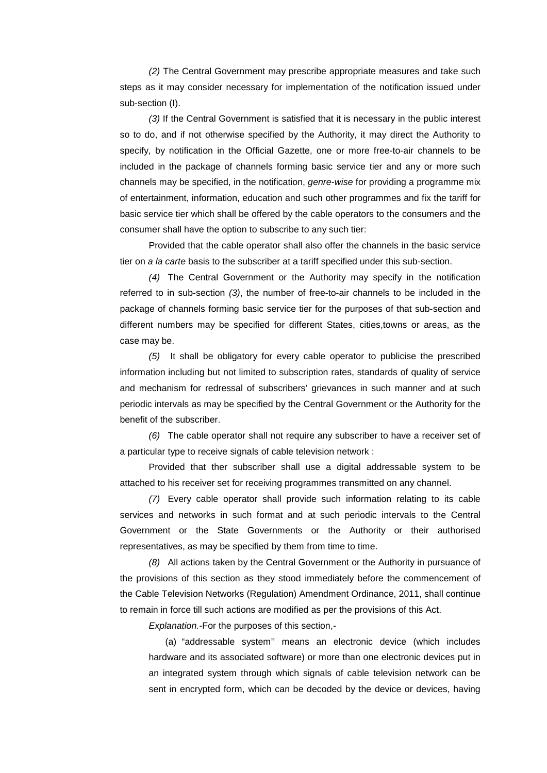*(2)* The Central Government may prescribe appropriate measures and take such steps as it may consider necessary for implementation of the notification issued under sub-section (I).

*(3)* If the Central Government is satisfied that it is necessary in the public interest so to do, and if not otherwise specified by the Authority, it may direct the Authority to specify, by notification in the Official Gazette, one or more free-to-air channels to be included in the package of channels forming basic service tier and any or more such channels may be specified, in the notification, *genre-wise* for providing a programme mix of entertainment, information, education and such other programmes and fix the tariff for basic service tier which shall be offered by the cable operators to the consumers and the consumer shall have the option to subscribe to any such tier:

Provided that the cable operator shall also offer the channels in the basic service tier on *a la carte* basis to the subscriber at a tariff specified under this sub-section.

*(4)* The Central Government or the Authority may specify in the notification referred to in sub-section *(3)*, the number of free-to-air channels to be included in the package of channels forming basic service tier for the purposes of that sub-section and different numbers may be specified for different States, cities,towns or areas, as the case may be.

*(5)* It shall be obligatory for every cable operator to publicise the prescribed information including but not limited to subscription rates, standards of quality of service and mechanism for redressal of subscribers' grievances in such manner and at such periodic intervals as may be specified by the Central Government or the Authority for the benefit of the subscriber.

*(6)* The cable operator shall not require any subscriber to have a receiver set of a particular type to receive signals of cable television network :

Provided that ther subscriber shall use a digital addressable system to be attached to his receiver set for receiving programmes transmitted on any channel.

*(7)* Every cable operator shall provide such information relating to its cable services and networks in such format and at such periodic intervals to the Central Government or the State Governments or the Authority or their authorised representatives, as may be specified by them from time to time.

*(8)* All actions taken by the Central Government or the Authority in pursuance of the provisions of this section as they stood immediately before the commencement of the Cable Television Networks (Regulation) Amendment Ordinance, 2011, shall continue to remain in force till such actions are modified as per the provisions of this Act.

*Explanation.-*For the purposes of this section,-

(a) "addressable system'' means an electronic device (which includes hardware and its associated software) or more than one electronic devices put in an integrated system through which signals of cable television network can be sent in encrypted form, which can be decoded by the device or devices, having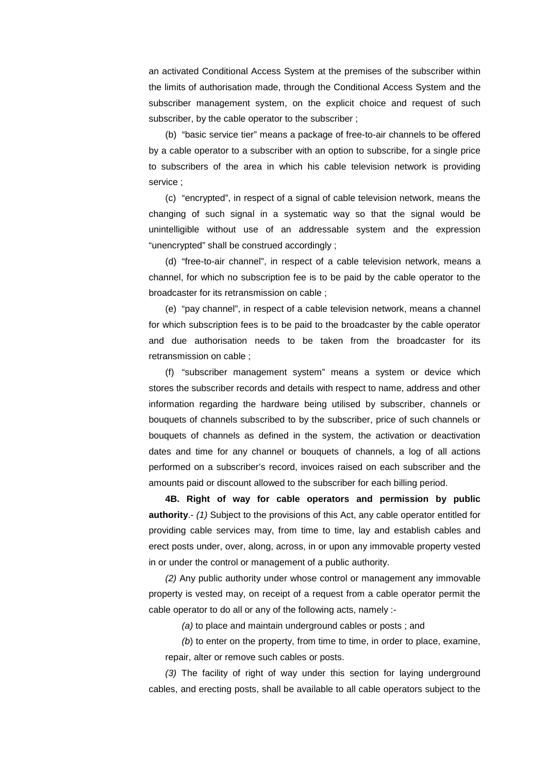an activated Conditional Access System at the premises of the subscriber within the limits of authorisation made, through the Conditional Access System and the subscriber management system, on the explicit choice and request of such subscriber, by the cable operator to the subscriber ;

(b) "basic service tier" means a package of free-to-air channels to be offered by a cable operator to a subscriber with an option to subscribe, for a single price to subscribers of the area in which his cable television network is providing service ;

(c) "encrypted", in respect of a signal of cable television network, means the changing of such signal in a systematic way so that the signal would be unintelligible without use of an addressable system and the expression "unencrypted" shall be construed accordingly ;

(d) "free-to-air channel", in respect of a cable television network, means a channel, for which no subscription fee is to be paid by the cable operator to the broadcaster for its retransmission on cable ;

(e) "pay channel", in respect of a cable television network, means a channel for which subscription fees is to be paid to the broadcaster by the cable operator and due authorisation needs to be taken from the broadcaster for its retransmission on cable ;

(f) "subscriber management system" means a system or device which stores the subscriber records and details with respect to name, address and other information regarding the hardware being utilised by subscriber, channels or bouquets of channels subscribed to by the subscriber, price of such channels or bouquets of channels as defined in the system, the activation or deactivation dates and time for any channel or bouquets of channels, a log of all actions performed on a subscriber's record, invoices raised on each subscriber and the amounts paid or discount allowed to the subscriber for each billing period.

**4B. Right of way for cable operators and permission by public authority**.- *(1)* Subject to the provisions of this Act, any cable operator entitled for providing cable services may, from time to time, lay and establish cables and erect posts under, over, along, across, in or upon any immovable property vested in or under the control or management of a public authority.

*(2)* Any public authority under whose control or management any immovable property is vested may, on receipt of a request from a cable operator permit the cable operator to do all or any of the following acts, namely :-

*(a)* to place and maintain underground cables or posts ; and

*(b*) to enter on the property, from time to time, in order to place, examine, repair, alter or remove such cables or posts.

*(3)* The facility of right of way under this section for laying underground cables, and erecting posts, shall be available to all cable operators subject to the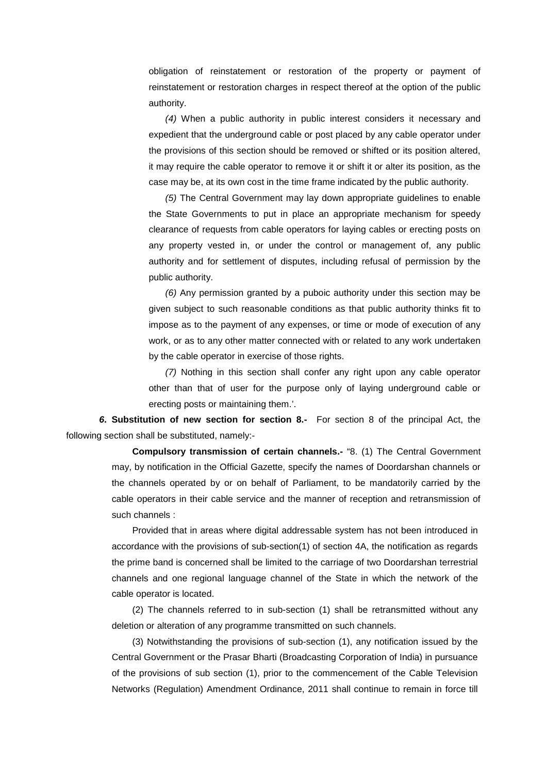obligation of reinstatement or restoration of the property or payment of reinstatement or restoration charges in respect thereof at the option of the public authority.

*(4)* When a public authority in public interest considers it necessary and expedient that the underground cable or post placed by any cable operator under the provisions of this section should be removed or shifted or its position altered, it may require the cable operator to remove it or shift it or alter its position, as the case may be, at its own cost in the time frame indicated by the public authority.

*(5)* The Central Government may lay down appropriate guidelines to enable the State Governments to put in place an appropriate mechanism for speedy clearance of requests from cable operators for laying cables or erecting posts on any property vested in, or under the control or management of, any public authority and for settlement of disputes, including refusal of permission by the public authority.

*(6)* Any permission granted by a puboic authority under this section may be given subject to such reasonable conditions as that public authority thinks fit to impose as to the payment of any expenses, or time or mode of execution of any work, or as to any other matter connected with or related to any work undertaken by the cable operator in exercise of those rights.

*(7)* Nothing in this section shall confer any right upon any cable operator other than that of user for the purpose only of laying underground cable or erecting posts or maintaining them.'.

*6***. Substitution of new section for section 8.-** For section 8 of the principal Act, the following section shall be substituted, namely:-

> **Compulsory transmission of certain channels.-** "8. (1) The Central Government may, by notification in the Official Gazette, specify the names of Doordarshan channels or the channels operated by or on behalf of Parliament, to be mandatorily carried by the cable operators in their cable service and the manner of reception and retransmission of such channels :

> Provided that in areas where digital addressable system has not been introduced in accordance with the provisions of sub-section(1) of section 4A, the notification as regards the prime band is concerned shall be limited to the carriage of two Doordarshan terrestrial channels and one regional language channel of the State in which the network of the cable operator is located.

> (2) The channels referred to in sub-section (1) shall be retransmitted without any deletion or alteration of any programme transmitted on such channels.

> (3) Notwithstanding the provisions of sub-section (1), any notification issued by the Central Government or the Prasar Bharti (Broadcasting Corporation of India) in pursuance of the provisions of sub section (1), prior to the commencement of the Cable Television Networks (Regulation) Amendment Ordinance, 2011 shall continue to remain in force till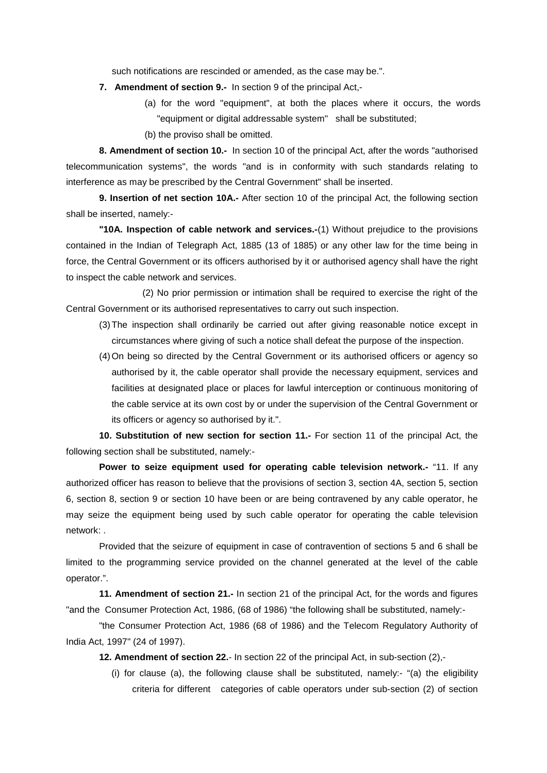such notifications are rescinded or amended, as the case may be.".

- **7. Amendment of section 9.-** In section 9 of the principal Act,-
	- (a) for the word "equipment", at both the places where it occurs, the words "equipment or digital addressable system" shall be substituted;
	- (b) the proviso shall be omitted.

**8. Amendment of section 10.-** In section 10 of the principal Act, after the words "authorised telecommunication systems", the words "and is in conformity with such standards relating to interference as may be prescribed by the Central Government" shall be inserted.

**9. Insertion of net section 10A.-** After section 10 of the principal Act, the following section shall be inserted, namely:-

**"10A. Inspection of cable network and services.-**(1) Without prejudice to the provisions contained in the Indian of Telegraph Act, 1885 (13 of 1885) or any other law for the time being in force, the Central Government or its officers authorised by it or authorised agency shall have the right to inspect the cable network and services.

 (2) No prior permission or intimation shall be required to exercise the right of the Central Government or its authorised representatives to carry out such inspection.

- (3)The inspection shall ordinarily be carried out after giving reasonable notice except in circumstances where giving of such a notice shall defeat the purpose of the inspection.
- (4)On being so directed by the Central Government or its authorised officers or agency so authorised by it, the cable operator shall provide the necessary equipment, services and facilities at designated place or places for lawful interception or continuous monitoring of the cable service at its own cost by or under the supervision of the Central Government or its officers or agency so authorised by it.".

**10. Substitution of new section for section 11.-** For section 11 of the principal Act, the following section shall be substituted, namely:-

**Power to seize equipment used for operating cable television network.-** "11. If any authorized officer has reason to believe that the provisions of section 3, section 4A, section 5, section 6, section 8, section 9 or section 10 have been or are being contravened by any cable operator, he may seize the equipment being used by such cable operator for operating the cable television network: .

Provided that the seizure of equipment in case of contravention of sections 5 and 6 shall be limited to the programming service provided on the channel generated at the level of the cable operator.".

**11. Amendment of section 21.-** In section 21 of the principal Act, for the words and figures "and the Consumer Protection Act, 1986, (68 of 1986) "the following shall be substituted, namely:-

"the Consumer Protection Act, 1986 (68 of 1986) and the Telecom Regulatory Authority of India Act, 1997" (24 of 1997).

**12. Amendment of section 22.**- In section 22 of the principal Act, in sub-section (2),-

(i) for clause (a), the following clause shall be substituted, namely:- "(a) the eligibility criteria for different categories of cable operators under sub-section (2) of section